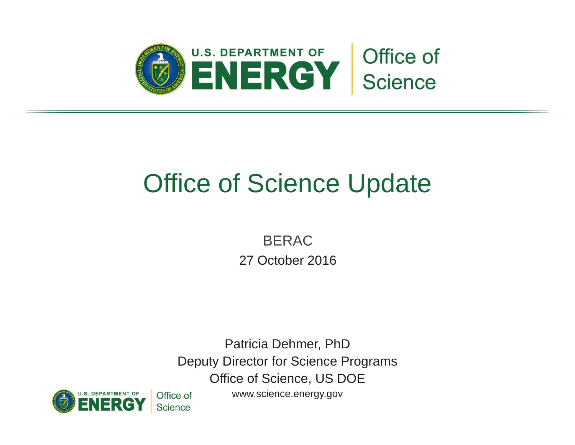

# Office of Science Update

BERAC 27 October 2016

Patricia Dehmer, PhD Deputy Director for Science Programs Office of Science, US DOE



<www.science.energy.gov>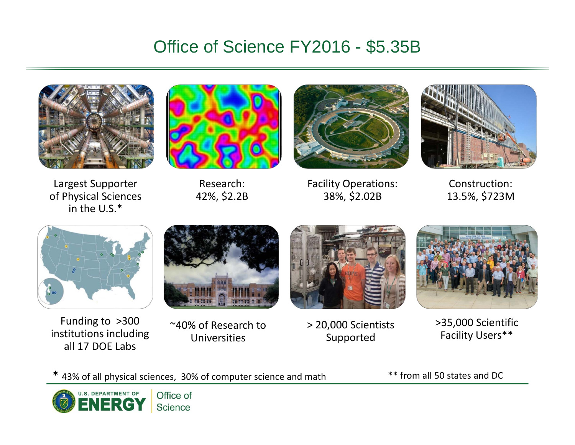### Office of Science FY2016 - \$5.35B







Largest Supporter **Research:** Facility Operations: Construction: of Physical Sciences 42%, \$2.2B 38%, \$2.02B 13.5%, \$723M



in the U.S.\*

Funding to  $>300$ <sup>2300</sup> Funding to >300 and the section of Research to Samph of Scientists institutions including value Universities<br><sup>20,000</sup> Supported Facility Users\*\* titutions including Universities Supported Facility Users\*\*<br>all 17 DOE Labs 17 DOE Labs

~40% of Research to

> 20,000 Scientists



\* 43% of all physical sciences, 30% of computer science and math \*\* from all 50 states and DC

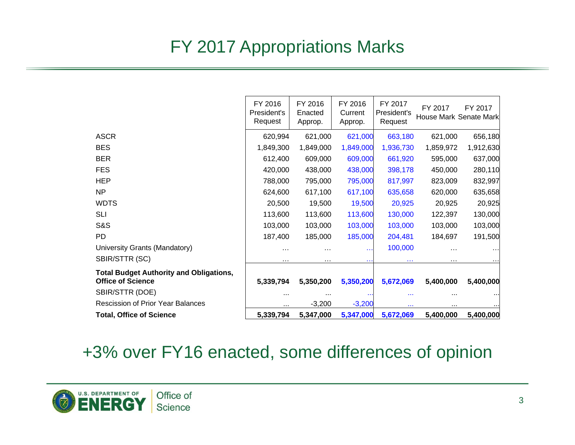# FY 2017 Appropriations Marks

|                                                                            | FY 2016<br>President's<br>Request | FY 2016<br>Enacted<br>Approp. | FY 2016<br>Current<br>Approp. | FY 2017<br>President's<br>Request | FY 2017   | FY 2017<br>House Mark Senate Mark |
|----------------------------------------------------------------------------|-----------------------------------|-------------------------------|-------------------------------|-----------------------------------|-----------|-----------------------------------|
| <b>ASCR</b>                                                                | 620,994                           | 621,000                       | 621,000                       | 663,180                           | 621,000   | 656,180                           |
| <b>BES</b>                                                                 | 1,849,300                         | 1,849,000                     | 1,849,000                     | 1,936,730                         | 1,859,972 | 1,912,630                         |
| <b>BER</b>                                                                 | 612,400                           | 609,000                       | 609,000                       | 661,920                           | 595,000   | 637,000                           |
| <b>FES</b>                                                                 | 420,000                           | 438,000                       | 438,000                       | 398,178                           | 450,000   | 280,110                           |
| HEP                                                                        | 788,000                           | 795,000                       | 795,000                       | 817,997                           | 823,009   | 832,997                           |
| <b>NP</b>                                                                  | 624,600                           | 617,100                       | 617,100                       | 635,658                           | 620,000   | 635,658                           |
| <b>WDTS</b>                                                                | 20,500                            | 19,500                        | 19,500                        | 20,925                            | 20,925    | 20,925                            |
| <b>SLI</b>                                                                 | 113,600                           | 113,600                       | 113,600                       | 130,000                           | 122,397   | 130,000                           |
| S&S                                                                        | 103,000                           | 103,000                       | 103,000                       | 103,000                           | 103,000   | 103,000                           |
| PD                                                                         | 187,400                           | 185,000                       | 185,000                       | 204,481                           | 184,697   | 191,500                           |
| University Grants (Mandatory)                                              | $\cdots$                          | $\cdots$                      | 444                           | 100,000                           | $\cdots$  |                                   |
| SBIR/STTR (SC)                                                             | $\cdots$                          | $\cdots$                      | e e i                         | <b>A 4 H</b>                      | $\cdots$  |                                   |
| <b>Total Budget Authority and Obligations,</b><br><b>Office of Science</b> | 5,339,794                         | 5,350,200                     | 5,350,200                     | 5,672,069                         | 5,400,000 | 5,400,000                         |
| SBIR/STTR (DOE)                                                            | $\cdots$                          | $\cdots$                      |                               |                                   |           |                                   |
| <b>Rescission of Prior Year Balances</b>                                   | $\cdots$                          | $-3,200$                      | $-3,200$                      | $\cdots$                          | $\cdots$  |                                   |
| <b>Total, Office of Science</b>                                            | 5,339,794                         | 5,347,000                     | 5,347,000                     | 5,672,069                         | 5,400,000 | 5,400,000                         |

#### +3% over FY16 enacted, some differences of opinion

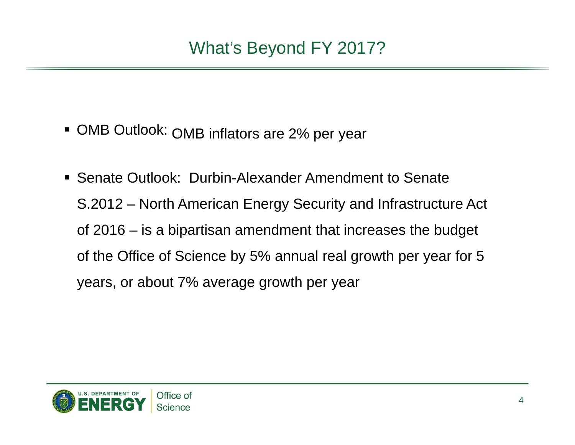- **OMB Outlook: OMB inflators are 2% per year**
- Senate Outlook: Durbin-Alexander Amendment to Senate S.2012 – North American Energy Security and Infrastructure Act of 2016 – is a bipartisan amendment that increases the budget of the Office of Science by 5% annual real growth per year for 5 years, or about 7% average growth per year

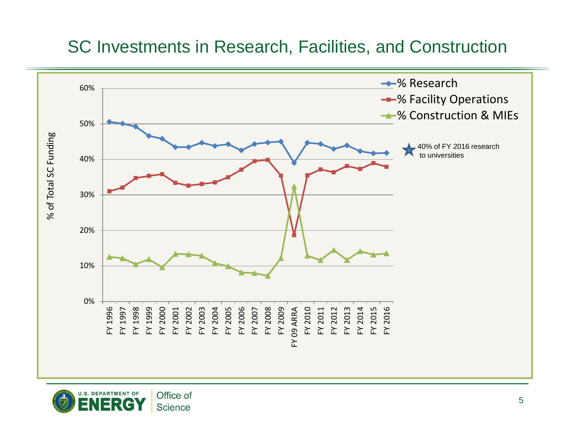#### SC Investments in Research, Facilities, and Construction



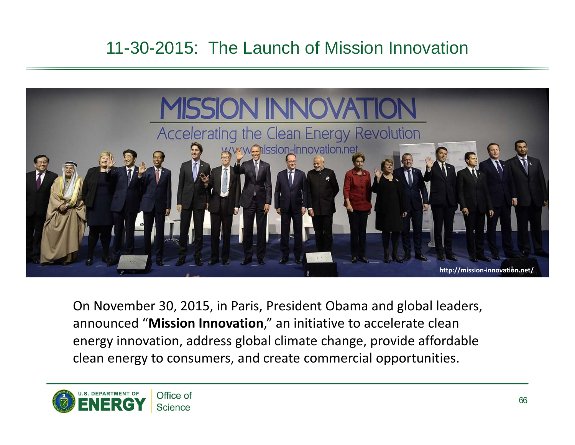# 11-30-2015: The Launch of Mission Innovation



On November 30, 2015, in Paris, President Obama and global leaders, announced "**Mission Innovation**," an initiative to accelerate clean energy innovation, address global climate change, provide affordable clean energy to consumers, and create commercial opportunities.

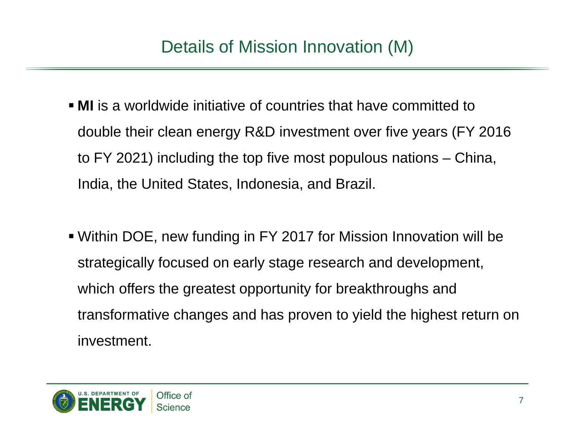- **MI** is a worldwide initiative of countries that have committed to double their clean energy R&D investment over five years (FY 2016 to FY 2021) including the top five most populous nations – China, India, the United States, Indonesia, and Brazil.
- Within DOE, new funding in FY 2017 for Mission Innovation will be strategically focused on early stage research and development, which offers the greatest opportunity for breakthroughs and transformative changes and has proven to yield the highest return on investment.

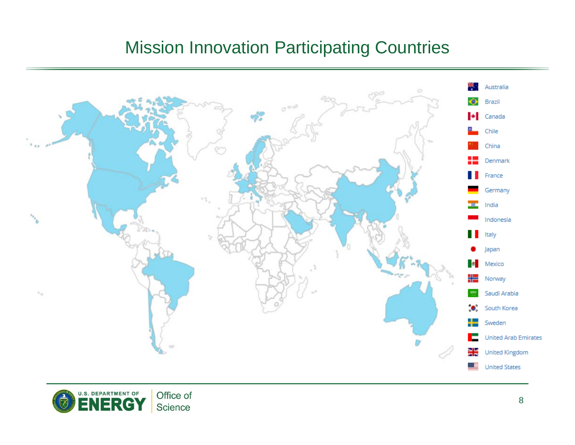### Mission Innovation Participating Countries



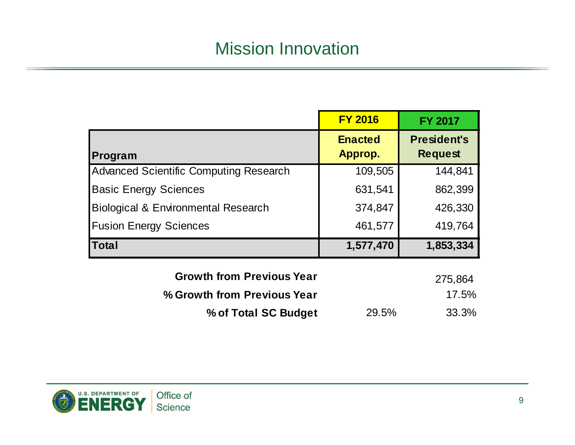### Mission Innovation

|                                                | <b>FY 2016</b>            | <b>FY 2017</b>                       |
|------------------------------------------------|---------------------------|--------------------------------------|
| Program                                        | <b>Enacted</b><br>Approp. | <b>President's</b><br><b>Request</b> |
| <b>Advanced Scientific Computing Research</b>  | 109,505                   | 144,841                              |
| <b>Basic Energy Sciences</b>                   | 631,541                   | 862,399                              |
| <b>Biological &amp; Environmental Research</b> | 374,847                   | 426,330                              |
| <b>Fusion Energy Sciences</b>                  | 461,577                   | 419,764                              |
| <b>Total</b>                                   | 1,577,470                 | 1,853,334                            |
| Crowth from Dravious Vaar                      |                           |                                      |

| <b>Growth from Previous Year</b> |       | 275,864  |
|----------------------------------|-------|----------|
| % Growth from Previous Year      |       | $17.5\%$ |
| % of Total SC Budget             | 29.5% | 33.3%    |